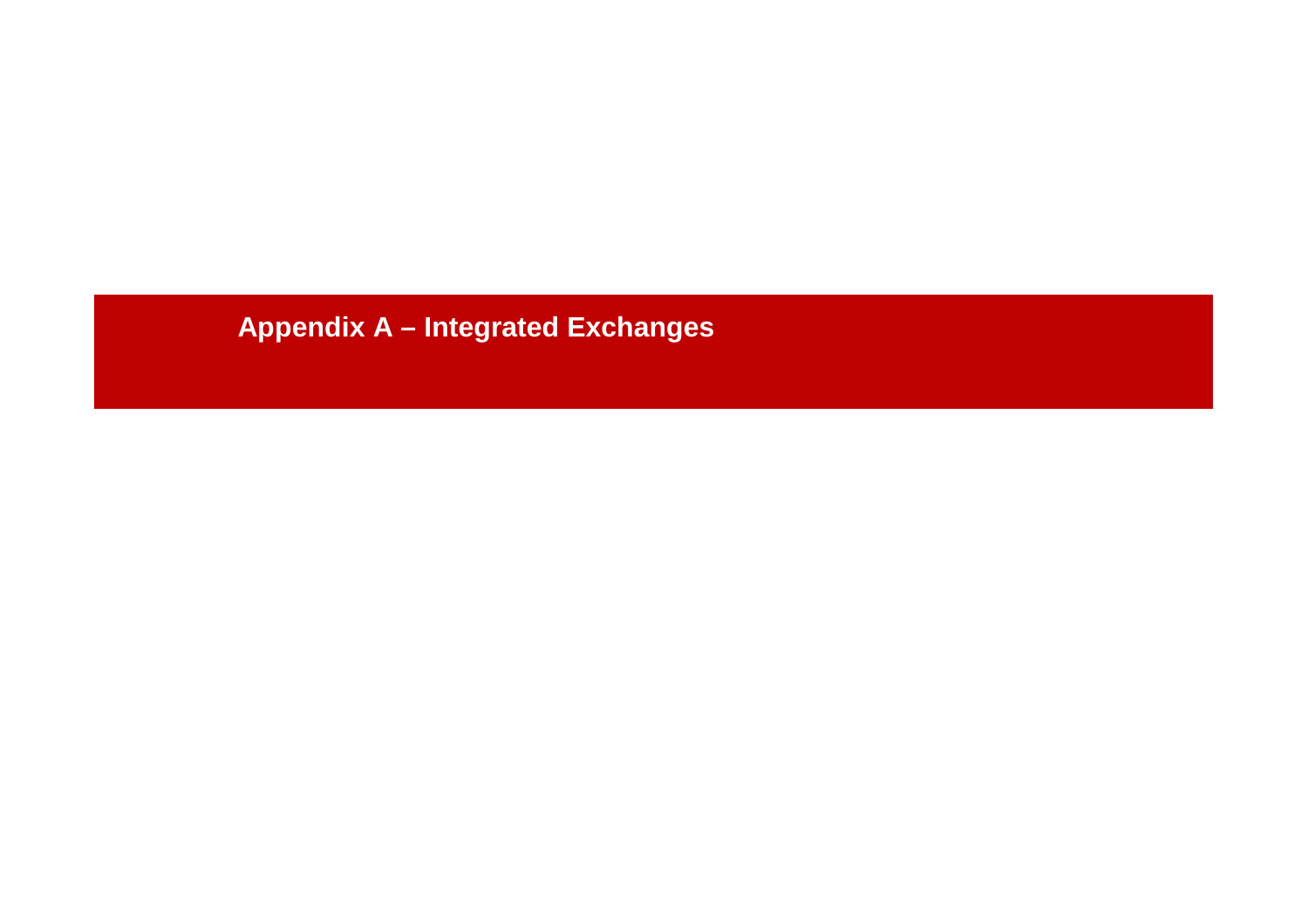# **Appendix A – Integrated Exchanges**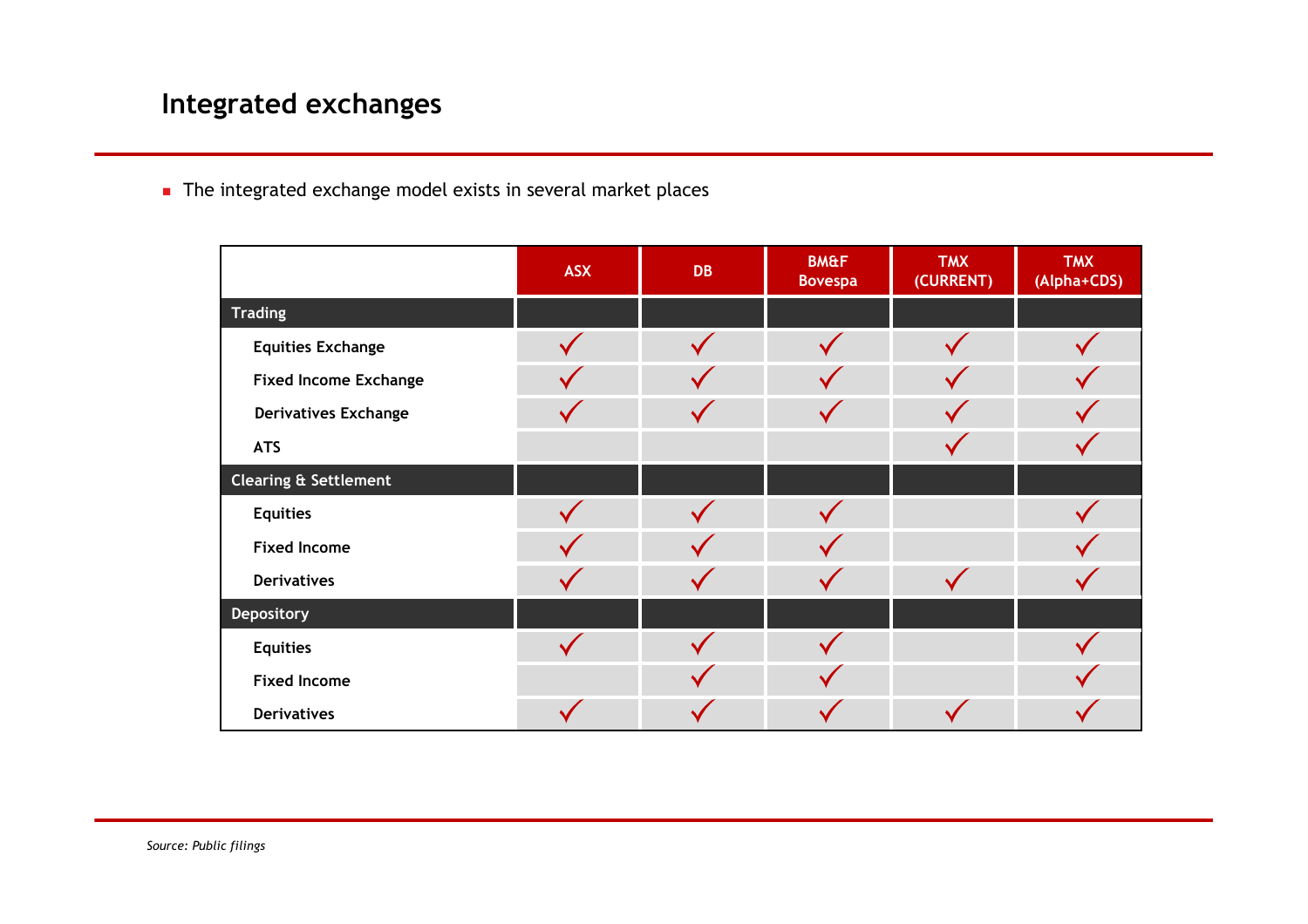# **Integrated exchanges**

The integrated exchange model exists in several market places

|                                  | <b>ASX</b> | <b>DB</b> | <b>BM&amp;F</b><br><b>Bovespa</b> | <b>TMX</b><br>(CURRENT) | <b>TMX</b><br>(Alpha+CDS) |
|----------------------------------|------------|-----------|-----------------------------------|-------------------------|---------------------------|
| <b>Trading</b>                   |            |           |                                   |                         |                           |
| <b>Equities Exchange</b>         |            |           |                                   |                         |                           |
| <b>Fixed Income Exchange</b>     |            |           |                                   |                         |                           |
| <b>Derivatives Exchange</b>      |            |           |                                   |                         |                           |
| <b>ATS</b>                       |            |           |                                   |                         |                           |
| <b>Clearing &amp; Settlement</b> |            |           |                                   |                         |                           |
| <b>Equities</b>                  |            |           |                                   |                         |                           |
| <b>Fixed Income</b>              |            |           |                                   |                         |                           |
| <b>Derivatives</b>               |            |           |                                   |                         |                           |
| Depository                       |            |           |                                   |                         |                           |
| <b>Equities</b>                  |            |           |                                   |                         |                           |
| <b>Fixed Income</b>              |            |           |                                   |                         |                           |
| <b>Derivatives</b>               |            |           |                                   |                         |                           |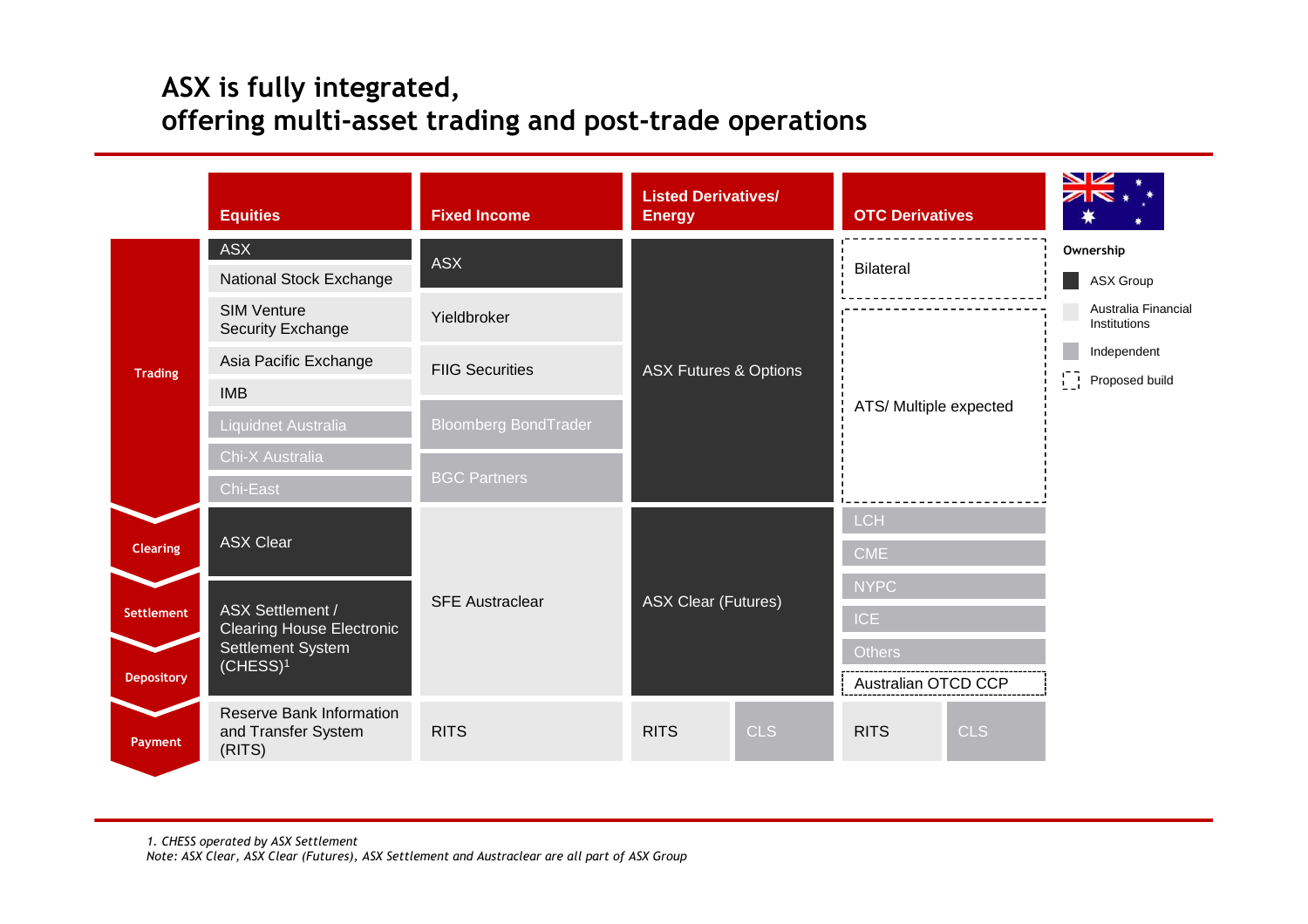# **ASX is fully integrated, offering multi-asset trading and post-trade operations**

|                   | <b>Equities</b>                                                                          | <b>Fixed Income</b>         | <b>Listed Derivatives/</b><br><b>Energy</b> | <b>OTC Derivatives</b>    |                                                       |
|-------------------|------------------------------------------------------------------------------------------|-----------------------------|---------------------------------------------|---------------------------|-------------------------------------------------------|
| <b>Trading</b>    | <b>ASX</b>                                                                               | <b>ASX</b>                  |                                             | <b>Bilateral</b>          | Ownership                                             |
|                   | National Stock Exchange                                                                  |                             |                                             |                           | ASX Group                                             |
|                   | <b>SIM Venture</b><br>Security Exchange                                                  | Yieldbroker                 |                                             |                           | Australia Financial<br>Institutions                   |
|                   | Asia Pacific Exchange                                                                    | <b>FIIG Securities</b>      | <b>ASX Futures &amp; Options</b>            | ATS/ Multiple expected    | Independent                                           |
|                   | <b>IMB</b>                                                                               |                             |                                             |                           | $\begin{bmatrix} 1 \\ 1 \end{bmatrix}$ Proposed build |
|                   | Liquidnet Australia                                                                      | <b>Bloomberg BondTrader</b> |                                             |                           |                                                       |
|                   | Chi-X Australia                                                                          |                             |                                             |                           |                                                       |
|                   | Chi-East                                                                                 | <b>BGC Partners</b>         |                                             |                           |                                                       |
| <b>Clearing</b>   | <b>ASX Clear</b>                                                                         | <b>SFE Austraclear</b>      |                                             | <b>LCH</b>                |                                                       |
|                   |                                                                                          |                             |                                             | <b>CME</b>                |                                                       |
|                   | ASX Settlement /<br><b>Clearing House Electronic</b><br>Settlement System<br>$(CHESS)^1$ |                             |                                             | <b>NYPC</b>               |                                                       |
| Settlement        |                                                                                          |                             | <b>ASX Clear (Futures)</b>                  | <b>ICE</b>                |                                                       |
|                   |                                                                                          |                             |                                             | <b>Others</b>             |                                                       |
| <b>Depository</b> |                                                                                          |                             |                                             | Australian OTCD CCP       |                                                       |
| Payment           | Reserve Bank Information<br>and Transfer System<br>(RITS)                                | <b>RITS</b>                 | <b>RITS</b><br><b>CLS</b>                   | <b>CLS</b><br><b>RITS</b> |                                                       |

*1. CHESS operated by ASX Settlement Note: ASX Clear, ASX Clear (Futures), ASX Settlement and Austraclear are all part of ASX Group*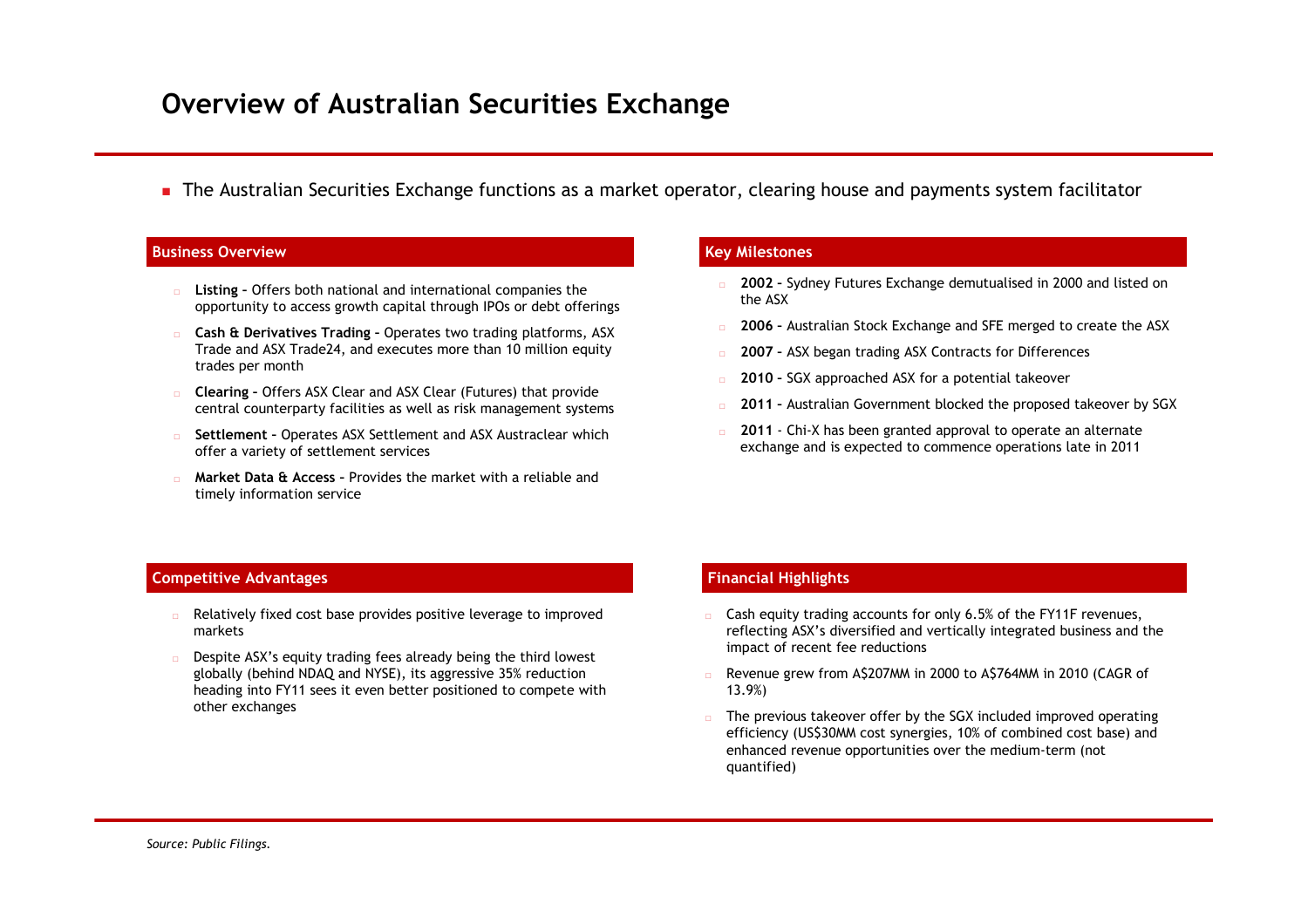## **Overview of Australian Securities Exchange**

The Australian Securities Exchange functions as a market operator, clearing house and payments system facilitator

## **Business Overview Key Milestones**

- **Listing –** Offers both national and international companies the opportunity to access growth capital through IPOs or debt offerings
- **Cash & Derivatives Trading –** Operates two trading platforms, ASX Trade and ASX Trade24, and executes more than 10 million equity trades per month
- **Clearing –** Offers ASX Clear and ASX Clear (Futures) that provide central counterparty facilities as well as risk management systems
- **Settlement –** Operates ASX Settlement and ASX Austraclear which offer a variety of settlement services
- **Market Data & Access –** Provides the market with a reliable and timely information service

- **2002 –** Sydney Futures Exchange demutualised in 2000 and listed on the ASX
- **2006 –** Australian Stock Exchange and SFE merged to create the ASX
- **2007 –** ASX began trading ASX Contracts for Differences
- **2010 –** SGX approached ASX for a potential takeover
- **2011 –** Australian Government blocked the proposed takeover by SGX
- **2011** Chi-X has been granted approval to operate an alternate exchange and is expected to commence operations late in 2011

## **Competitive Advantages Financial Highlights**

- Relatively fixed cost base provides positive leverage to improved markets
- Despite ASX's equity trading fees already being the third lowest globally (behind NDAQ and NYSE), its aggressive 35% reduction heading into FY11 sees it even better positioned to compete with other exchanges

- $\Box$  Cash equity trading accounts for only 6.5% of the FY11F revenues, reflecting ASX's diversified and vertically integrated business and the impact of recent fee reductions
- Revenue grew from A\$207MM in 2000 to A\$764MM in 2010 (CAGR of 13.9%)
- The previous takeover offer by the SGX included improved operating efficiency (US\$30MM cost synergies, 10% of combined cost base) and enhanced revenue opportunities over the medium-term (not quantified)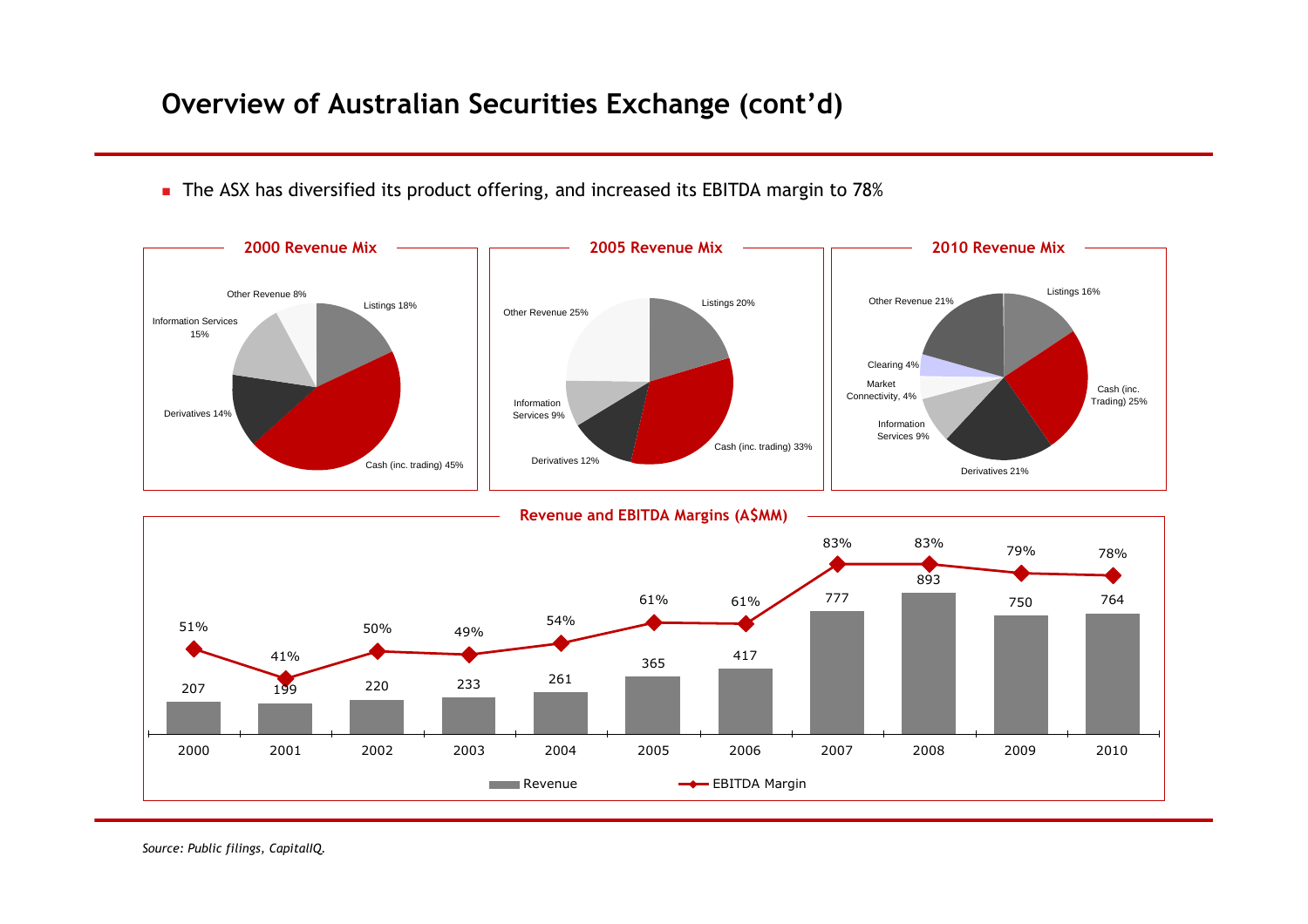# **Overview of Australian Securities Exchange (cont'd)**

The ASX has diversified its product offering, and increased its EBITDA margin to 78%



*Source: Public filings, CapitalIQ.*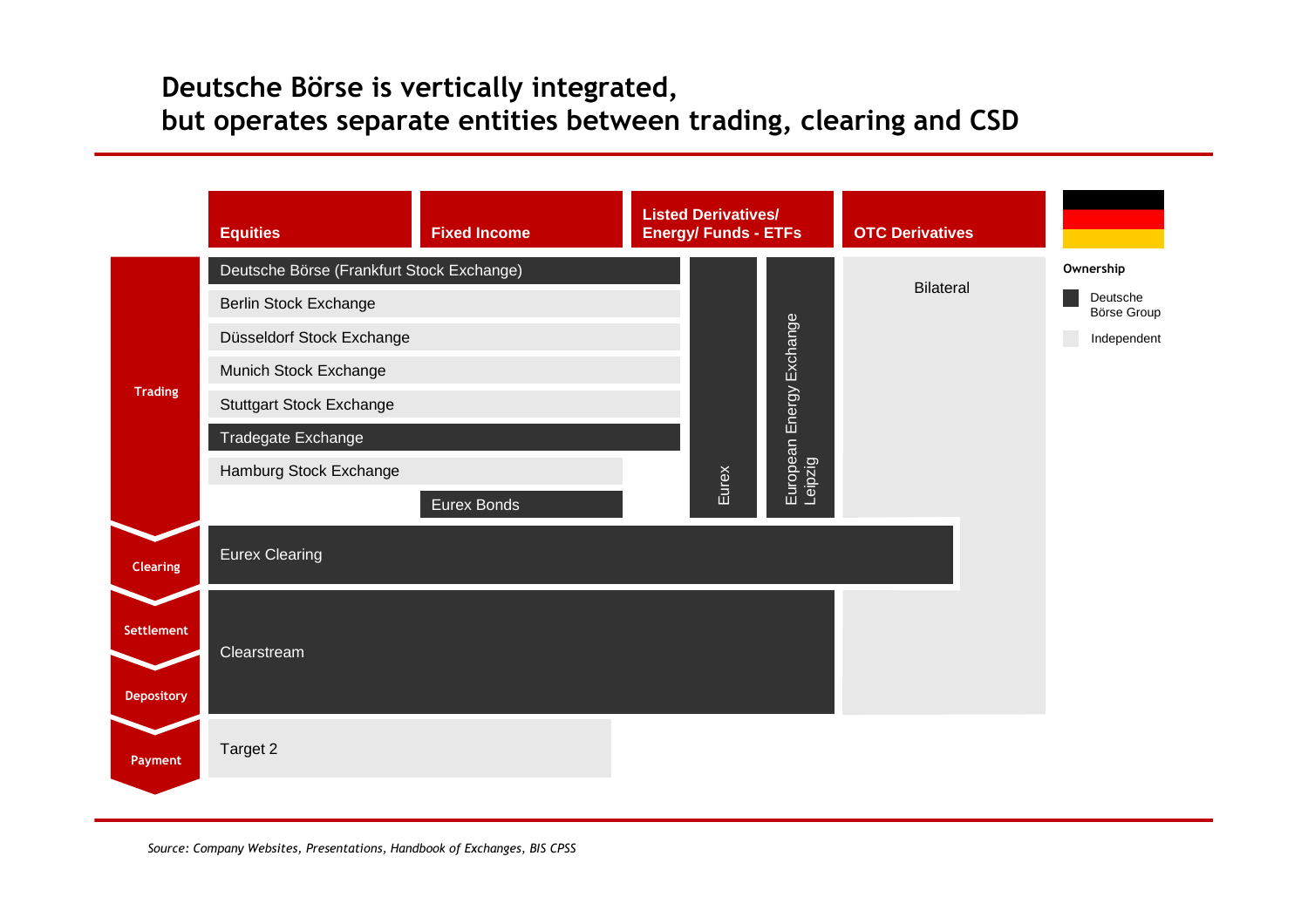# **Deutsche Börse is vertically integrated, but operates separate entities between trading, clearing and CSD**

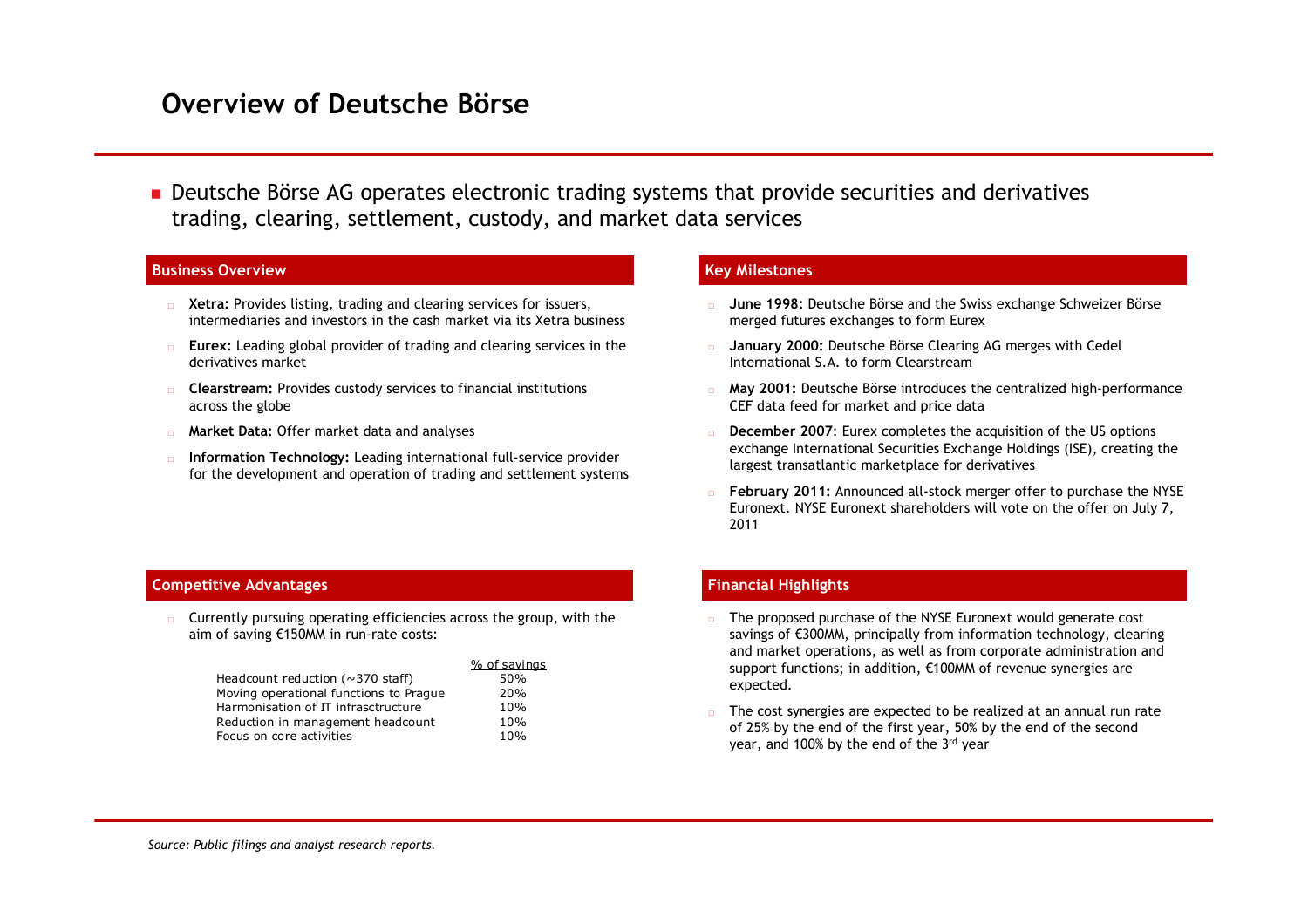## **Overview of Deutsche Börse**

**Deutsche Börse AG operates electronic trading systems that provide securities and derivatives** trading, clearing, settlement, custody, and market data services

## **Business Overview Key Milestones**

- **EXECTE:** Provides listing, trading and clearing services for issuers, intermediaries and investors in the cash market via its Xetra business
- **Eurex:** Leading global provider of trading and clearing services in the derivatives market
- **Clearstream:** Provides custody services to financial institutions across the globe
- **Market Data:** Offer market data and analyses
- **Information Technology:** Leading international full-service provider for the development and operation of trading and settlement systems

- **June 1998:** Deutsche Börse and the Swiss exchange Schweizer Börse merged futures exchanges to form Eurex
- **January 2000:** Deutsche Börse Clearing AG merges with Cedel International S.A. to form Clearstream
- **May 2001:** Deutsche Börse introduces the centralized high-performance CEF data feed for market and price data
- **December 2007**: Eurex completes the acquisition of the US options exchange International Securities Exchange Holdings (ISE), creating the largest transatlantic marketplace for derivatives
- **February 2011:** Announced all-stock merger offer to purchase the NYSE Euronext. NYSE Euronext shareholders will vote on the offer on July 7, 2011

### **Competitive Advantages**

 $\Box$  Currently pursuing operating efficiencies across the group, with the aim of saving €150MM in run-rate costs:

|                                         | % of savings |
|-----------------------------------------|--------------|
| Headcount reduction ( $\sim$ 370 staff) | 50%          |
| Moving operational functions to Prague  | 20%          |
| Harmonisation of IT infrasctructure     | 10%          |
| Reduction in management headcount       | 10%          |
| Focus on core activities                | 10%          |

## **Financial Highlights**

- $\Box$  The proposed purchase of the NYSE Euronext would generate cost savings of €300MM, principally from information technology, clearing and market operations, as well as from corporate administration and support functions; in addition, €100MM of revenue synergies are expected.
- The cost synergies are expected to be realized at an annual run rate of 25% by the end of the first year, 50% by the end of the second year, and 100% by the end of the 3rd year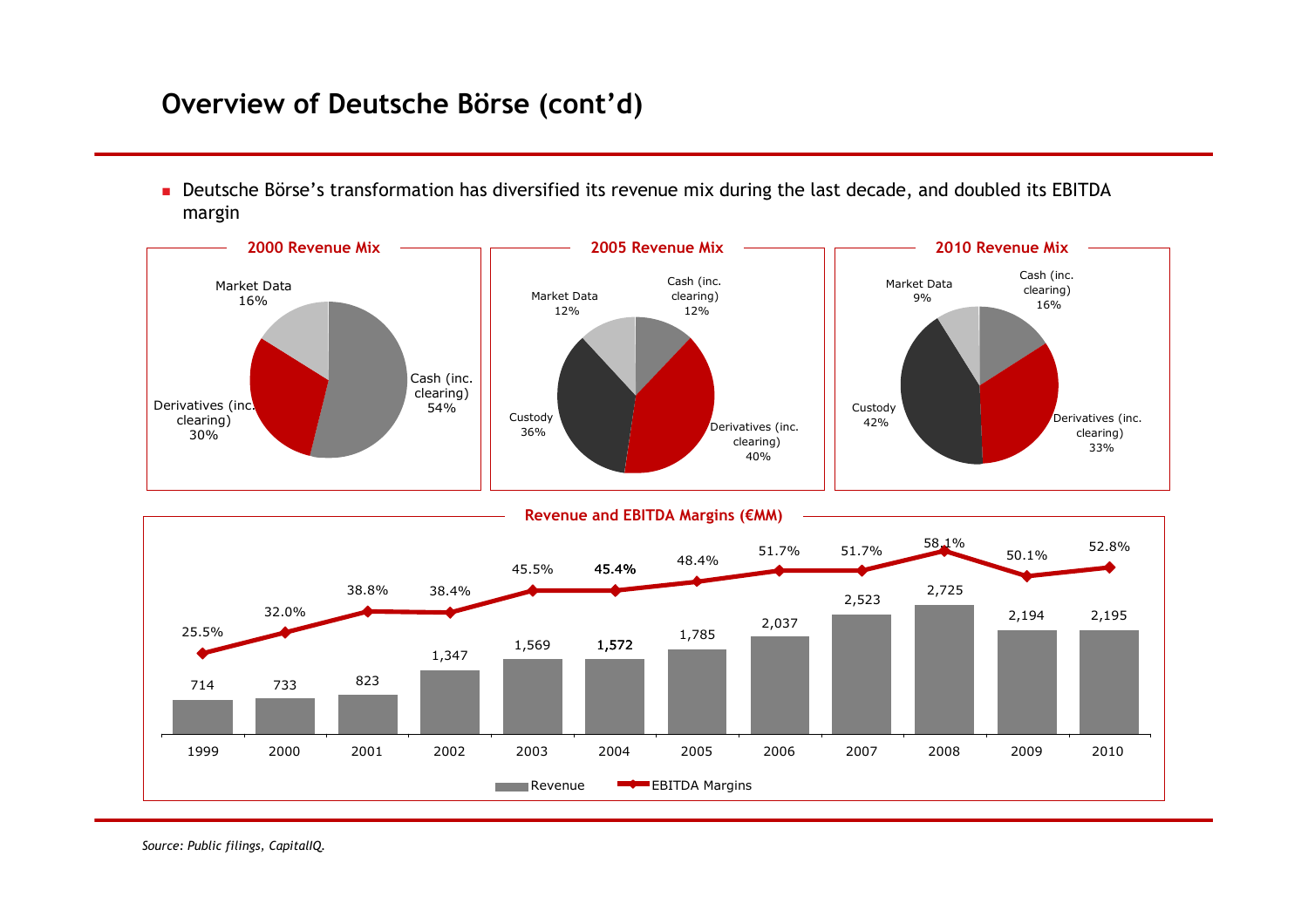# **Overview of Deutsche Börse (cont'd)**

Deutsche Börse's transformation has diversified its revenue mix during the last decade, and doubled its EBITDA margin

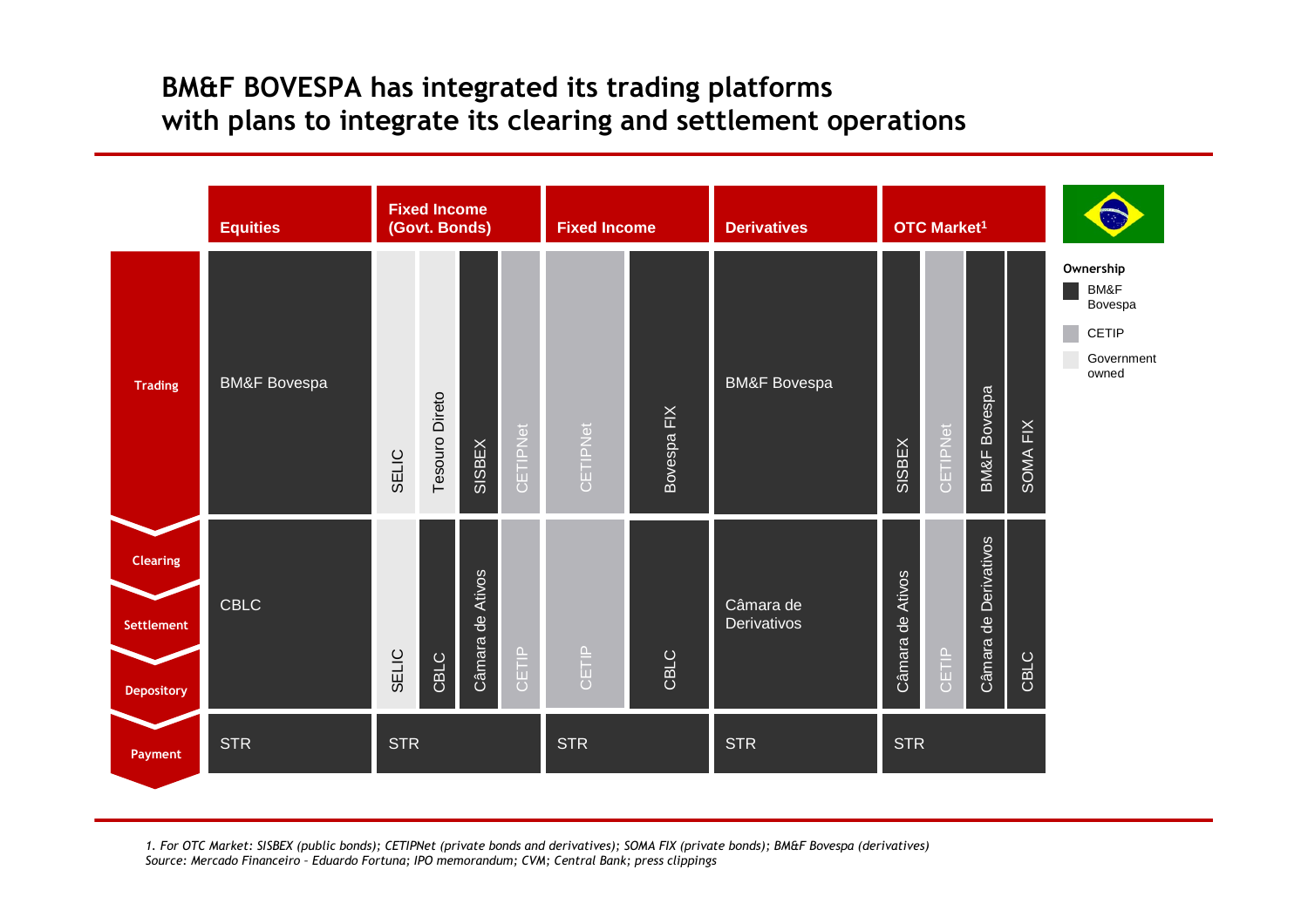# **BM&F BOVESPA has integrated its trading platforms with plans to integrate its clearing and settlement operations**



*1. For OTC Market: SISBEX (public bonds); CETIPNet (private bonds and derivatives); SOMA FIX (private bonds); BM&F Bovespa (derivatives) Source: Mercado Financeiro – Eduardo Fortuna; IPO memorandum; CVM; Central Bank; press clippings*